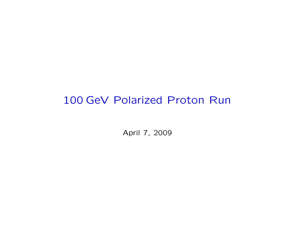# 100 GeV Polarized Proton Run

April 7, 2009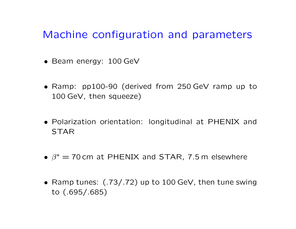# Machine configuration and parameters

- Beam energy: 100 GeV
- Ramp: pp100-90 (derived from 250 GeV ramp up to 100 GeV, then squeeze)
- Polarization orientation: longitudinal at PHENIX and STAR
- $\beta^* =$  70 cm at PHENIX and STAR, 7.5 m elsewhere
- Ramp tunes: (.73/.72) up to 100 GeV, then tune swing to (.695/.685)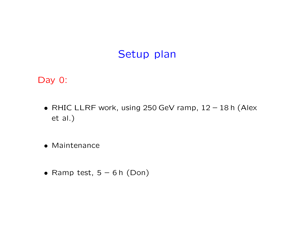### Setup plan

Day 0:

- RHIC LLRF work, using 250 GeV ramp, 12 18 h (Alex et al.)
- Maintenance
- Ramp test,  $5 6$  h (Don)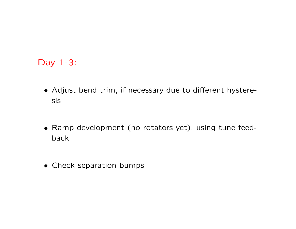#### Day 1-3:

- Adjust bend trim, if necessary due to different hysteresis
- Ramp development (no rotators yet), using tune feedback
- Check separation bumps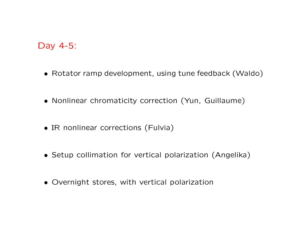#### Day 4-5:

- Rotator ramp development, using tune feedback (Waldo)
- Nonlinear chromaticity correction (Yun, Guillaume)
- IR nonlinear corrections (Fulvia)
- Setup collimation for vertical polarization (Angelika)
- Overnight stores, with vertical polarization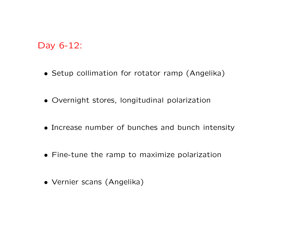### Day 6-12:

- Setup collimation for rotator ramp (Angelika)
- Overnight stores, longitudinal polarization
- Increase number of bunches and bunch intensity
- Fine-tune the ramp to maximize polarization
- Vernier scans (Angelika)